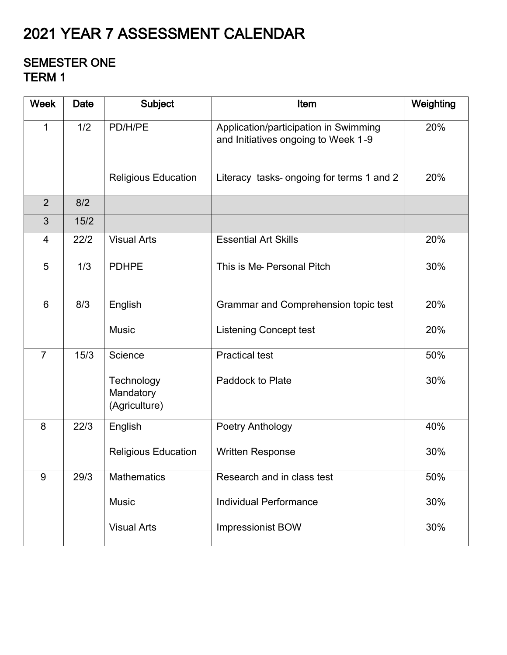# 2021 YEAR 7 ASSESSMENT CALENDAR

#### SEMESTER ONE TERM 1

| <b>Week</b>    | <b>Date</b> | <b>Subject</b>                           | Item                                                                         | Weighting |
|----------------|-------------|------------------------------------------|------------------------------------------------------------------------------|-----------|
| $\mathbf{1}$   | 1/2         | PD/H/PE                                  | Application/participation in Swimming<br>and Initiatives ongoing to Week 1-9 | 20%       |
|                |             | <b>Religious Education</b>               | Literacy tasks- ongoing for terms 1 and 2                                    | 20%       |
| $\overline{2}$ | 8/2         |                                          |                                                                              |           |
| 3              | 15/2        |                                          |                                                                              |           |
| $\overline{4}$ | 22/2        | <b>Visual Arts</b>                       | <b>Essential Art Skills</b>                                                  | 20%       |
| 5              | 1/3         | <b>PDHPE</b>                             | This is Me-Personal Pitch                                                    | 30%       |
| 6              | 8/3         | English                                  | Grammar and Comprehension topic test                                         | 20%       |
|                |             | <b>Music</b>                             | <b>Listening Concept test</b>                                                | 20%       |
| $\overline{7}$ | 15/3        | Science                                  | <b>Practical test</b>                                                        | 50%       |
|                |             | Technology<br>Mandatory<br>(Agriculture) | Paddock to Plate                                                             | 30%       |
| 8              | 22/3        | English                                  | Poetry Anthology                                                             | 40%       |
|                |             | <b>Religious Education</b>               | <b>Written Response</b>                                                      | 30%       |
| 9              | 29/3        | <b>Mathematics</b>                       | Research and in class test                                                   | 50%       |
|                |             | <b>Music</b>                             | <b>Individual Performance</b>                                                | 30%       |
|                |             | <b>Visual Arts</b>                       | <b>Impressionist BOW</b>                                                     | 30%       |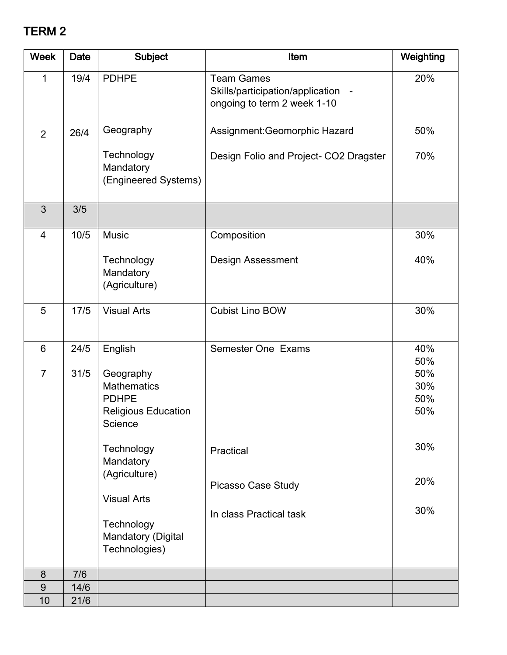## TERM 2

| <b>Week</b>     | Date | <b>Subject</b>                                                                           | Item                                                                                   | Weighting                       |
|-----------------|------|------------------------------------------------------------------------------------------|----------------------------------------------------------------------------------------|---------------------------------|
| $\mathbf 1$     | 19/4 | <b>PDHPE</b>                                                                             | <b>Team Games</b><br>Skills/participation/application -<br>ongoing to term 2 week 1-10 | 20%                             |
| $\overline{2}$  | 26/4 | Geography                                                                                | Assignment: Geomorphic Hazard                                                          | 50%                             |
|                 |      | Technology<br>Mandatory<br>(Engineered Systems)                                          | Design Folio and Project- CO2 Dragster                                                 | 70%                             |
| 3               | 3/5  |                                                                                          |                                                                                        |                                 |
| 4               | 10/5 | <b>Music</b>                                                                             | Composition                                                                            | 30%                             |
|                 |      | Technology<br>Mandatory<br>(Agriculture)                                                 | <b>Design Assessment</b>                                                               | 40%                             |
| 5               | 17/5 | <b>Visual Arts</b>                                                                       | <b>Cubist Lino BOW</b>                                                                 | 30%                             |
| $6\phantom{1}6$ | 24/5 | English                                                                                  | <b>Semester One Exams</b>                                                              | 40%                             |
| $\overline{7}$  | 31/5 | Geography<br><b>Mathematics</b><br><b>PDHPE</b><br><b>Religious Education</b><br>Science |                                                                                        | 50%<br>50%<br>30%<br>50%<br>50% |
|                 |      | Technology<br>Mandatory                                                                  | Practical                                                                              | 30%                             |
|                 |      | (Agriculture)                                                                            | Picasso Case Study                                                                     | 20%                             |
|                 |      | <b>Visual Arts</b><br>Technology<br>Mandatory (Digital<br>Technologies)                  | In class Practical task                                                                | 30%                             |
| 8               | 7/6  |                                                                                          |                                                                                        |                                 |
| 9               | 14/6 |                                                                                          |                                                                                        |                                 |
| 10              | 21/6 |                                                                                          |                                                                                        |                                 |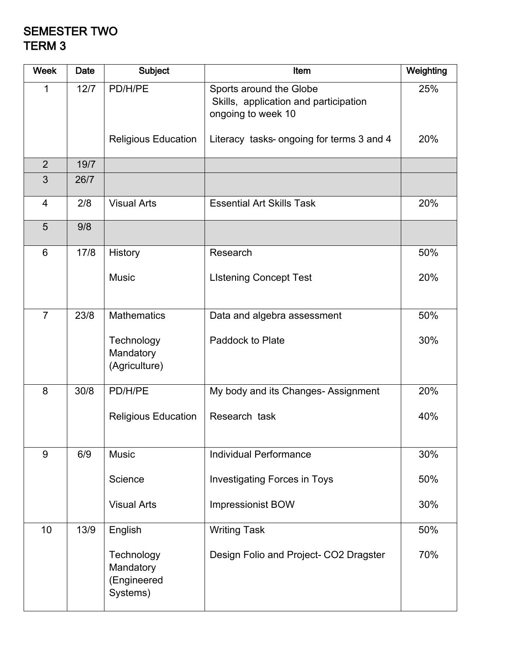#### SEMESTER TWO TERM 3

| <b>Week</b>    | Date | <b>Subject</b>                                     | Item                                                                                   | Weighting |
|----------------|------|----------------------------------------------------|----------------------------------------------------------------------------------------|-----------|
| 1              | 12/7 | PD/H/PE                                            | Sports around the Globe<br>Skills, application and participation<br>ongoing to week 10 | 25%       |
|                |      | <b>Religious Education</b>                         | Literacy tasks- ongoing for terms 3 and 4                                              | 20%       |
| $\overline{2}$ | 19/7 |                                                    |                                                                                        |           |
| 3              | 26/7 |                                                    |                                                                                        |           |
| $\overline{4}$ | 2/8  | <b>Visual Arts</b>                                 | <b>Essential Art Skills Task</b>                                                       | 20%       |
| 5              | 9/8  |                                                    |                                                                                        |           |
| $6\phantom{1}$ | 17/8 | <b>History</b>                                     | Research                                                                               | 50%       |
|                |      | <b>Music</b>                                       | <b>LIstening Concept Test</b>                                                          | 20%       |
| $\overline{7}$ | 23/8 | <b>Mathematics</b>                                 | Data and algebra assessment                                                            | 50%       |
|                |      | Technology<br>Mandatory<br>(Agriculture)           | <b>Paddock to Plate</b>                                                                | 30%       |
| 8              | 30/8 | PD/H/PE                                            | My body and its Changes-Assignment                                                     | 20%       |
|                |      | <b>Religious Education</b>                         | Research task                                                                          | 40%       |
| 9              | 6/9  | <b>Music</b>                                       | <b>Individual Performance</b>                                                          | 30%       |
|                |      | Science                                            | <b>Investigating Forces in Toys</b>                                                    | 50%       |
|                |      | <b>Visual Arts</b>                                 | <b>Impressionist BOW</b>                                                               | 30%       |
| 10             | 13/9 | English                                            | <b>Writing Task</b>                                                                    | 50%       |
|                |      | Technology<br>Mandatory<br>(Engineered<br>Systems) | Design Folio and Project- CO2 Dragster                                                 | 70%       |